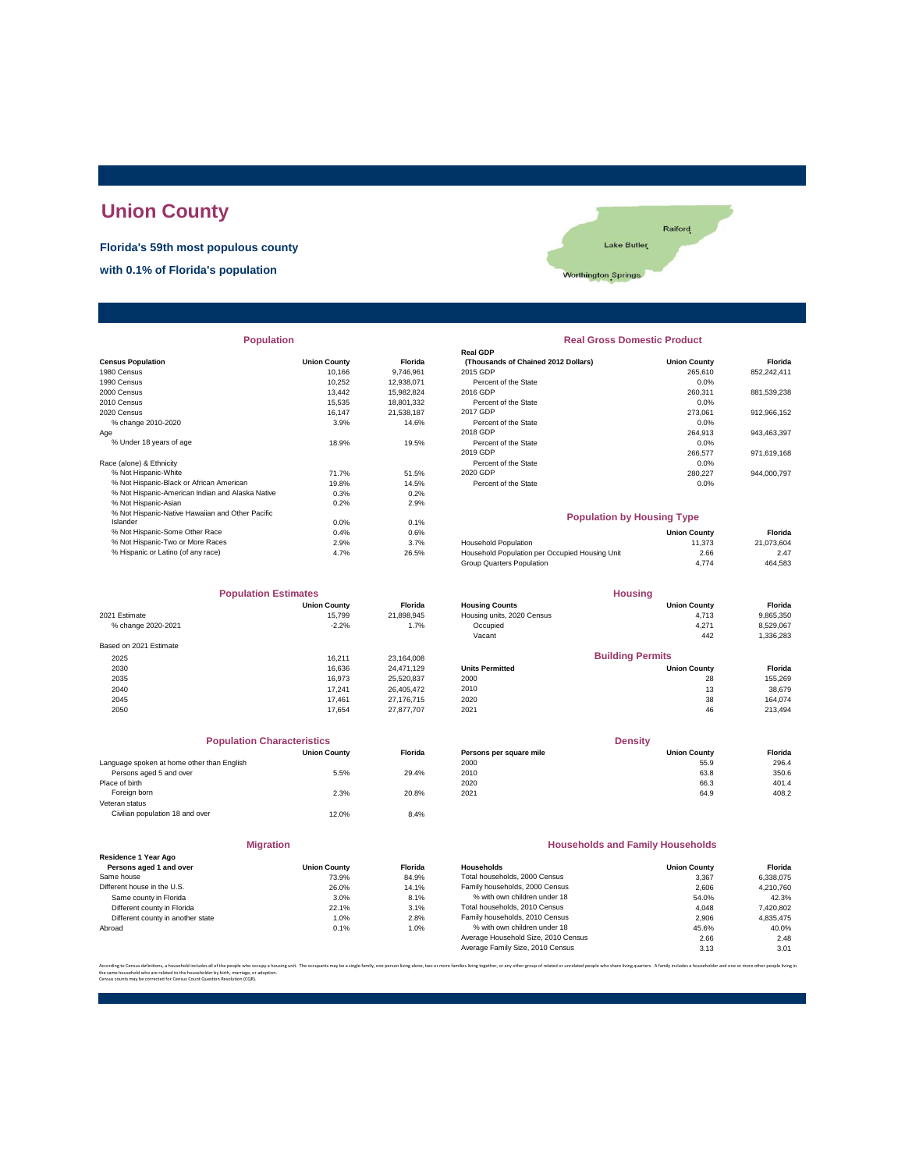# **Union County**

**Florida's 59th most populous county**

**with 0.1% of Florida's population**



| <b>Population</b>                                |                     |                | <b>Real Gross Domestic Product</b>             |                     |             |  |
|--------------------------------------------------|---------------------|----------------|------------------------------------------------|---------------------|-------------|--|
|                                                  |                     |                | <b>Real GDP</b>                                |                     |             |  |
| <b>Census Population</b>                         | <b>Union County</b> | <b>Florida</b> | (Thousands of Chained 2012 Dollars)            | <b>Union County</b> | Florida     |  |
| 1980 Census                                      | 10.166              | 9,746,961      | 2015 GDP                                       | 265,610             | 852,242,411 |  |
| 1990 Census                                      | 10,252              | 12,938,071     | Percent of the State                           | 0.0%                |             |  |
| 2000 Census                                      | 13.442              | 15,982,824     | 2016 GDP                                       | 260.311             | 881,539,238 |  |
| 2010 Census                                      | 15.535              | 18,801,332     | Percent of the State                           | 0.0%                |             |  |
| 2020 Census                                      | 16.147              | 21.538.187     | 2017 GDP                                       | 273.061             | 912,966,152 |  |
| % change 2010-2020                               | 3.9%                | 14.6%          | Percent of the State                           | 0.0%                |             |  |
| Aqe                                              |                     |                | 2018 GDP                                       | 264,913             | 943,463,397 |  |
| % Under 18 years of age                          | 18.9%               | 19.5%          | Percent of the State                           | 0.0%                |             |  |
|                                                  |                     |                | 2019 GDP                                       | 266,577             | 971,619,168 |  |
| Race (alone) & Ethnicity                         |                     |                | Percent of the State                           | 0.0%                |             |  |
| % Not Hispanic-White                             | 71.7%               | 51.5%          | 2020 GDP                                       | 280,227             | 944,000,797 |  |
| % Not Hispanic-Black or African American         | 19.8%               | 14.5%          | Percent of the State                           | 0.0%                |             |  |
| % Not Hispanic-American Indian and Alaska Native | 0.3%                | 0.2%           |                                                |                     |             |  |
| % Not Hispanic-Asian                             | 0.2%                | 2.9%           |                                                |                     |             |  |
| % Not Hispanic-Native Hawaiian and Other Pacific |                     |                | <b>Population by Housing Type</b>              |                     |             |  |
| Islander                                         | 0.0%                | 0.1%           |                                                |                     |             |  |
| % Not Hispanic-Some Other Race                   | 0.4%                | 0.6%           |                                                | <b>Union County</b> | Florida     |  |
| % Not Hispanic-Two or More Races                 | 2.9%                | 3.7%           | <b>Household Population</b>                    | 11,373              | 21,073,604  |  |
| % Hispanic or Latino (of any race)               | 4.7%                | 26.5%          | Household Population per Occupied Housing Unit | 2.66                | 2.47        |  |

| <b>Population Estimates</b> |                     |                | <b>Housing</b>             |                         |           |
|-----------------------------|---------------------|----------------|----------------------------|-------------------------|-----------|
|                             | <b>Union County</b> | <b>Florida</b> | <b>Housing Counts</b>      | <b>Union County</b>     | Florida   |
| 2021 Estimate               | 15.799              | 21,898,945     | Housing units, 2020 Census | 4,713                   | 9,865,350 |
| % change 2020-2021          | $-2.2%$             | 1.7%           | Occupied                   | 4,271                   | 8,529,067 |
|                             |                     |                | Vacant                     | 442                     | 1,336,283 |
| Based on 2021 Estimate      |                     |                |                            |                         |           |
| 2025                        | 16.211              | 23,164,008     |                            | <b>Building Permits</b> |           |
| 2030                        | 16.636              | 24.471.129     | <b>Units Permitted</b>     | <b>Union County</b>     | Florida   |
| 2035                        | 16.973              | 25,520,837     | 2000                       | 28                      | 155,269   |
| 2040                        | 17.241              | 26,405,472     | 2010                       | 13                      | 38,679    |
| 2045                        | 17.461              | 27,176,715     | 2020                       | 38                      | 164.074   |
| 2050                        | 17.654              | 27.877.707     | 2021                       | 46                      | 213,494   |

| <b>Population Characteristics</b>          |                     |                |
|--------------------------------------------|---------------------|----------------|
|                                            | <b>Union County</b> | <b>Florida</b> |
| Language spoken at home other than English |                     |                |
| Persons aged 5 and over                    | 5.5%                | 29.4%          |
| Place of birth                             |                     |                |
| Foreign born                               | 2.3%                | 20.8%          |
| Veteran status                             |                     |                |
| Civilian population 18 and over            | 12.0%               | 8.4%           |
|                                            |                     |                |
|                                            |                     |                |

|                                                 | <b>Migration</b>    |                |
|-------------------------------------------------|---------------------|----------------|
| Residence 1 Year Ago<br>Persons aged 1 and over | <b>Union County</b> | <b>Florid:</b> |
| Same house                                      | 73.9%               | 84.9%          |
| Different house in the U.S.                     | 26.0%               | 14.19          |
| Same county in Florida                          | 3.0%                | 8.1%           |
| Different county in Florida                     | 22.1%               | 3.1%           |
| Different county in another state               | 1.0%                | 2.8%           |
| Abroad                                          | 0.1%                | 1.0%           |

| <b>Population</b>                                |                     |                | <b>Real Gross Domestic Product</b>  |                                   |             |  |
|--------------------------------------------------|---------------------|----------------|-------------------------------------|-----------------------------------|-------------|--|
|                                                  |                     |                | <b>Real GDP</b>                     |                                   |             |  |
| sus Population                                   | <b>Union County</b> | <b>Florida</b> | (Thousands of Chained 2012 Dollars) | <b>Union County</b>               | Florida     |  |
| 0 Census                                         | 10.166              | 9.746.961      | 2015 GDP                            | 265,610                           | 852,242,411 |  |
| 0 Census                                         | 10,252              | 12,938,071     | Percent of the State                | 0.0%                              |             |  |
| 0 Census                                         | 13.442              | 15,982,824     | 2016 GDP                            | 260,311                           | 881,539,238 |  |
| 0 Census                                         | 15,535              | 18,801,332     | Percent of the State                | 0.0%                              |             |  |
| 0 Census                                         | 16.147              | 21,538,187     | 2017 GDP                            | 273,061                           | 912,966,152 |  |
| % change 2010-2020                               | 3.9%                | 14.6%          | Percent of the State                | 0.0%                              |             |  |
|                                                  |                     |                | 2018 GDP                            | 264,913                           | 943,463,397 |  |
| % Under 18 years of age                          | 18.9%               | 19.5%          | Percent of the State                | 0.0%                              |             |  |
|                                                  |                     |                | 2019 GDP                            | 266,577                           | 971,619,168 |  |
| e (alone) & Ethnicity                            |                     |                | Percent of the State                | 0.0%                              |             |  |
| % Not Hispanic-White                             | 71.7%               | 51.5%          | 2020 GDP                            | 280.227                           | 944.000.797 |  |
| % Not Hispanic-Black or African American         | 19.8%               | 14.5%          | Percent of the State                | 0.0%                              |             |  |
| % Not Hispanic-American Indian and Alaska Native | 0.3%                | 0.2%           |                                     |                                   |             |  |
| % Not Hispanic-Asian                             | 0.2%                | 2.9%           |                                     |                                   |             |  |
| % Not Hispanic-Native Hawaiian and Other Pacific |                     |                |                                     | <b>Population by Housing Type</b> |             |  |
| Islander                                         | 0.0%                | 0.1%           |                                     |                                   |             |  |

|                                    | ------ | .     |                                                |                     |            |
|------------------------------------|--------|-------|------------------------------------------------|---------------------|------------|
| % Not Hispanic-Some Other Race     | 0.4%   | 0.6%  |                                                | <b>Union County</b> | Florida    |
| % Not Hispanic-Two or More Races   | 2.9%   | 3.7%  | Household Population                           | 11.373              | 21.073.604 |
| % Hispanic or Latino (of any race) | 4.7%   | 26.5% | Household Population per Occupied Housing Unit | 2.66                | 2.47       |
|                                    |        |       | Group Quarters Population                      | 4.774               | 464,583    |
|                                    |        |       |                                                |                     |            |

| <b>Population Estimates</b> |                     |                | <b>Housing</b>             |                         |           |
|-----------------------------|---------------------|----------------|----------------------------|-------------------------|-----------|
|                             | <b>Union County</b> | <b>Florida</b> | <b>Housing Counts</b>      | <b>Union County</b>     | Florida   |
| 2021 Estimate               | 15.799              | 21,898,945     | Housing units, 2020 Census | 4,713                   | 9,865,350 |
| % change 2020-2021          | $-2.2%$             | 1.7%           | Occupied                   | 4,271                   | 8,529,067 |
|                             |                     |                | Vacant                     | 442                     | 1,336,283 |
| Based on 2021 Estimate      |                     |                |                            |                         |           |
| 2025                        | 16.211              | 23.164.008     |                            | <b>Building Permits</b> |           |
| 2030                        | 16.636              | 24.471.129     | <b>Units Permitted</b>     | <b>Union County</b>     | Florida   |
| 2035                        | 16,973              | 25,520,837     | 2000                       | 28                      | 155.269   |
| 2040                        | 17.241              | 26,405,472     | 2010                       | 13                      | 38,679    |
| <b>2045</b>                 | 17 461              | 27 176 715     | 2020                       | 20                      | 164.074   |

| <b>Population Characteristics</b> |                |                         | <b>Density</b>      |         |  |
|-----------------------------------|----------------|-------------------------|---------------------|---------|--|
| <b>Union County</b>               | <b>Florida</b> | Persons per square mile | <b>Union County</b> | Florida |  |
|                                   |                | 2000                    | 55.9                | 296.4   |  |
| 5.5%                              | 29.4%          | 2010                    | 63.8                | 350.6   |  |
|                                   |                | 2020                    | 66.3                | 401.4   |  |
| 2.3%                              | 20.8%          | 2021                    | 64.9                | 408.2   |  |
|                                   |                |                         |                     |         |  |

### **Households and Family Households**

| Residence 1 Year Ago              |                     |                |                                     |                     |           |
|-----------------------------------|---------------------|----------------|-------------------------------------|---------------------|-----------|
| Persons aged 1 and over           | <b>Union County</b> | <b>Florida</b> | Households                          | <b>Union County</b> | Florida   |
| Same house                        | 73.9%               | 84.9%          | Total households, 2000 Census       | 3.367               | 6.338.075 |
| Different house in the U.S.       | 26.0%               | 14.1%          | Family households, 2000 Census      | 2.606               | 4.210.760 |
| Same county in Florida            | 3.0%                | 8.1%           | % with own children under 18        | 54.0%               | 42.3%     |
| Different county in Florida       | 22.1%               | 3.1%           | Total households, 2010 Census       | 4.048               | 7,420,802 |
| Different county in another state | 1.0%                | 2.8%           | Family households, 2010 Census      | 2.906               | 4.835.475 |
| Abroad                            | 0.1%                | 1.0%           | % with own children under 18        | 45.6%               | 40.0%     |
|                                   |                     |                | Average Household Size, 2010 Census | 2.66                | 2.48      |
|                                   |                     |                | Average Family Size, 2010 Census    | 3.13                | 3.01      |
|                                   |                     |                |                                     |                     |           |

.<br>ether, or any other group of related or unrelated people who share living quarters. A family includes a householder and one or more other the same household who are related to the householder by birth, marriage, or adoption. Census counts may be corrected for Census Count Question Resolution (CQR).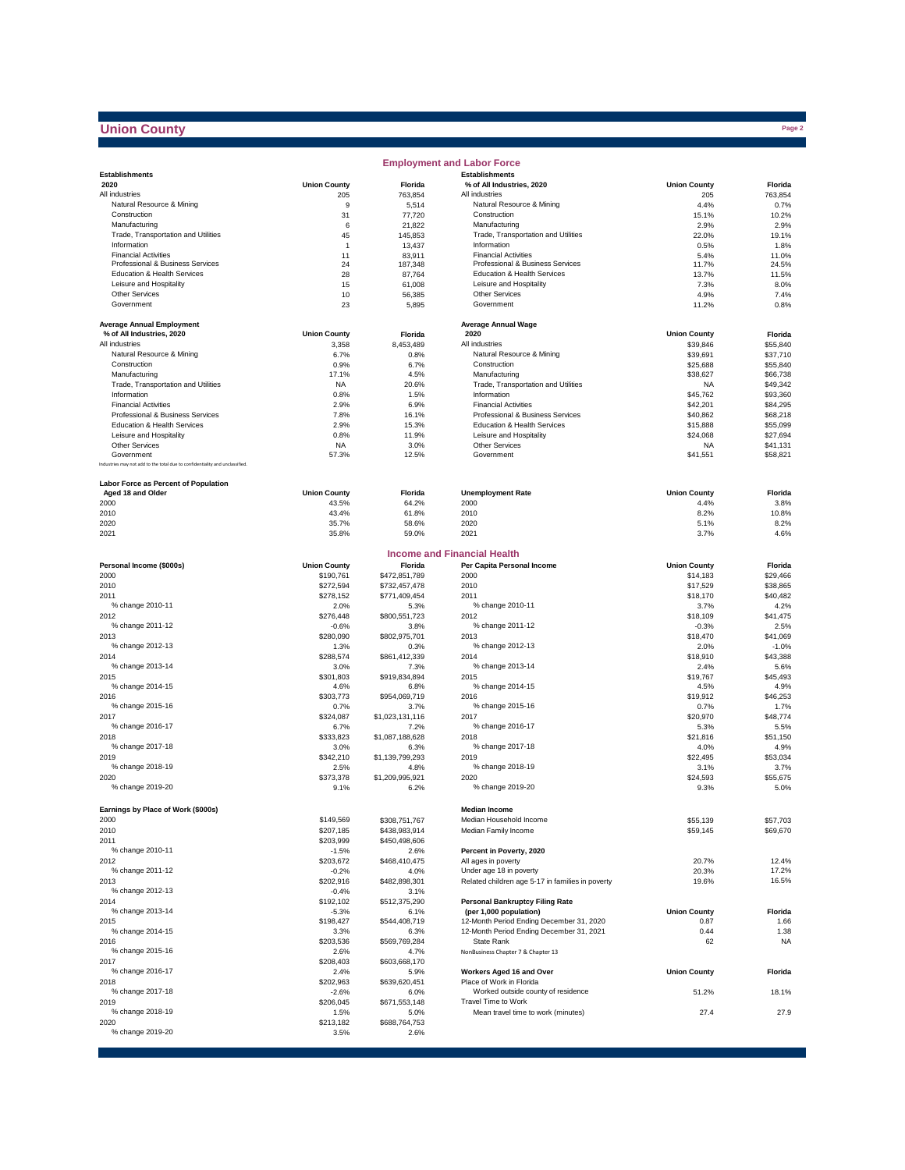## **Union County**

|                                                                              |                        |                                | <b>Employment and Labor Force</b>                                |                      |                      |
|------------------------------------------------------------------------------|------------------------|--------------------------------|------------------------------------------------------------------|----------------------|----------------------|
| <b>Establishments</b>                                                        |                        |                                | <b>Establishments</b>                                            |                      |                      |
| 2020                                                                         | <b>Union County</b>    | Florida                        | % of All Industries, 2020                                        | <b>Union County</b>  | Florida              |
| All industries<br>Natural Resource & Mining                                  | 205                    | 763,854                        | All industries                                                   | 205                  | 763,854              |
| Construction                                                                 | 9<br>31                | 5,514<br>77,720                | Natural Resource & Mining<br>Construction                        | 4.4%<br>15.1%        | 0.7%<br>10.2%        |
| Manufacturing                                                                | 6                      | 21,822                         | Manufacturing                                                    | 2.9%                 | 2.9%                 |
| Trade, Transportation and Utilities                                          | 45                     | 145,853                        | Trade, Transportation and Utilities                              | 22.0%                | 19.1%                |
| Information                                                                  | 1                      | 13,437                         | Information                                                      | 0.5%                 | 1.8%                 |
| <b>Financial Activities</b>                                                  | 11                     | 83,911                         | <b>Financial Activities</b>                                      | 5.4%                 | 11.0%                |
| Professional & Business Services                                             | 24                     | 187,348                        | Professional & Business Services                                 | 11.7%                | 24.5%                |
| Education & Health Services                                                  | 28                     | 87,764                         | Education & Health Services                                      | 13.7%                | 11.5%                |
| Leisure and Hospitality                                                      | 15                     | 61,008                         | Leisure and Hospitality                                          | 7.3%                 | 8.0%                 |
| <b>Other Services</b><br>Government                                          | 10<br>23               | 56,385                         | Other Services<br>Government                                     | 4.9%                 | 7.4%<br>0.8%         |
|                                                                              |                        | 5,895                          |                                                                  | 11.2%                |                      |
| <b>Average Annual Employment</b>                                             |                        |                                | <b>Average Annual Wage</b>                                       |                      |                      |
| % of All Industries, 2020                                                    | <b>Union County</b>    | Florida                        | 2020                                                             | <b>Union County</b>  | Florida              |
| All industries                                                               | 3,358                  | 8,453,489                      | All industries                                                   | \$39,846             | \$55,840             |
| Natural Resource & Mining                                                    | 6.7%                   | 0.8%                           | Natural Resource & Mining                                        | \$39,691             | \$37,710             |
| Construction                                                                 | 0.9%                   | 6.7%                           | Construction                                                     | \$25,688             | \$55,840             |
| Manufacturing                                                                | 17.1%                  | 4.5%                           | Manufacturing                                                    | \$38,627             | \$66,738             |
| Trade, Transportation and Utilities                                          | <b>NA</b>              | 20.6%                          | Trade, Transportation and Utilities                              | NA                   | \$49,342             |
| Information<br><b>Financial Activities</b>                                   | 0.8%<br>2.9%           | 1.5%                           | Information<br><b>Financial Activities</b>                       | \$45,762             | \$93,360             |
| Professional & Business Services                                             | 7.8%                   | 6.9%<br>16.1%                  | Professional & Business Services                                 | \$42,201<br>\$40,862 | \$84,295<br>\$68,218 |
| Education & Health Services                                                  | 2.9%                   | 15.3%                          | Education & Health Services                                      | \$15,888             | \$55,099             |
| Leisure and Hospitality                                                      | 0.8%                   | 11.9%                          | Leisure and Hospitality                                          | \$24,068             | \$27,694             |
| <b>Other Services</b>                                                        | <b>NA</b>              | 3.0%                           | Other Services                                                   | <b>NA</b>            | \$41.131             |
| Government                                                                   | 57.3%                  | 12.5%                          | Government                                                       | \$41,551             | \$58,821             |
| Industries may not add to the total due to confidentiality and unclassified. |                        |                                |                                                                  |                      |                      |
| <b>Labor Force as Percent of Population</b>                                  |                        |                                |                                                                  |                      |                      |
| Aged 18 and Older                                                            | <b>Union County</b>    | Florida                        | <b>Unemployment Rate</b>                                         | <b>Union County</b>  | Florida              |
| 2000                                                                         | 43.5%                  | 64.2%                          | 2000                                                             | 4.4%                 | 3.8%                 |
| 2010                                                                         | 43.4%                  | 61.8%                          | 2010                                                             | 8.2%                 | 10.8%                |
| 2020                                                                         | 35.7%                  | 58.6%                          | 2020                                                             | 5.1%                 | 8.2%                 |
| 2021                                                                         | 35.8%                  | 59.0%                          | 2021                                                             | 3.7%                 | 4.6%                 |
|                                                                              |                        |                                |                                                                  |                      |                      |
|                                                                              |                        |                                | <b>Income and Financial Health</b>                               |                      |                      |
| Personal Income (\$000s)                                                     | <b>Union County</b>    | Florida                        | Per Capita Personal Income<br>2000                               | <b>Union County</b>  | Florida              |
| 2000<br>2010                                                                 | \$190,761<br>\$272,594 | \$472,851,789<br>\$732,457,478 | 2010                                                             | \$14,183<br>\$17,529 | \$29,466<br>\$38,865 |
| 2011                                                                         | \$278,152              | \$771,409,454                  | 2011                                                             | \$18,170             | \$40,482             |
| % change 2010-11                                                             | 2.0%                   | 5.3%                           | % change 2010-11                                                 | 3.7%                 | 4.2%                 |
| 2012                                                                         | \$276,448              | \$800,551,723                  | 2012                                                             | \$18,109             | \$41,475             |
| % change 2011-12                                                             | $-0.6%$                | 3.8%                           | % change 2011-12                                                 | $-0.3%$              | 2.5%                 |
| 2013                                                                         | \$280,090              | \$802,975,701                  | 2013                                                             | \$18,470             | \$41,069             |
| % change 2012-13                                                             | 1.3%                   | 0.3%                           | % change 2012-13                                                 | 2.0%                 | $-1.0%$              |
| 2014                                                                         | \$288,574              | \$861,412,339                  | 2014                                                             | \$18,910             | \$43,388             |
| % change 2013-14                                                             | 3.0%                   | 7.3%                           | % change 2013-14                                                 | 2.4%                 | 5.6%                 |
| 2015<br>% change 2014-15                                                     | \$301,803              | \$919,834,894                  | 2015<br>% change 2014-15                                         | \$19,767             | \$45,493             |
| 2016                                                                         | 4.6%<br>\$303,773      | 6.8%<br>\$954,069,719          | 2016                                                             | 4.5%<br>\$19,912     | 4.9%<br>\$46,253     |
| % change 2015-16                                                             | 0.7%                   | 3.7%                           | % change 2015-16                                                 | 0.7%                 | 1.7%                 |
| 2017                                                                         | \$324,087              | \$1,023,131,116                | 2017                                                             | \$20,970             | \$48,774             |
| % change 2016-17                                                             | 6.7%                   | 7.2%                           | % change 2016-17                                                 | 5.3%                 | 5.5%                 |
| 2018                                                                         | \$333,823              | \$1,087,188,628                | 2018                                                             | \$21,816             | \$51,150             |
| % change 2017-18                                                             | 3.0%                   | 6.3%                           | % change 2017-18                                                 | 4.0%                 | 4.9%                 |
| 2019                                                                         | \$342,210              | \$1,139,799,293                | 2019                                                             | \$22,495             | \$53,034             |
| % change 2018-19                                                             | 2.5%                   | 4.8%                           | % change 2018-19                                                 | 3.1%                 | 3.7%                 |
| 2020<br>% change 2019-20                                                     | \$373,378              | \$1,209,995,921                | 2020<br>% change 2019-20                                         | \$24,593             | \$55,675             |
|                                                                              | 9.1%                   | 6.2%                           |                                                                  | 9.3%                 | 5.0%                 |
| Earnings by Place of Work (\$000s)                                           |                        |                                | <b>Median Income</b>                                             |                      |                      |
| 2000                                                                         | \$149,569              | \$308,751,767                  | Median Household Income                                          | \$55,139             | \$57,703             |
| 2010                                                                         | \$207,185              | \$438,983,914                  | Median Family Income                                             | \$59,145             | \$69,670             |
| 2011                                                                         | \$203,999              | \$450,498,606                  |                                                                  |                      |                      |
| % change 2010-11                                                             | $-1.5%$                | 2.6%                           | Percent in Poverty, 2020                                         |                      |                      |
| 2012                                                                         | \$203,672              | \$468,410,475                  | All ages in poverty                                              | 20.7%                | 12.4%                |
| % change 2011-12                                                             | $-0.2%$                | 4.0%                           | Under age 18 in poverty                                          | 20.3%                | 17.2%                |
| 2013                                                                         | \$202,916              | \$482,898,301                  | Related children age 5-17 in families in poverty                 | 19.6%                | 16.5%                |
| % change 2012-13                                                             | $-0.4%$                | 3.1%<br>\$512,375,290          |                                                                  |                      |                      |
| 2014<br>% change 2013-14                                                     | \$192,102<br>$-5.3%$   | 6.1%                           | <b>Personal Bankruptcy Filing Rate</b><br>(per 1,000 population) | <b>Union County</b>  | Florida              |
| 2015                                                                         | \$198,427              | \$544,408,719                  | 12-Month Period Ending December 31, 2020                         | 0.87                 | 1.66                 |
| % change 2014-15                                                             | 3.3%                   | 6.3%                           | 12-Month Period Ending December 31, 2021                         | 0.44                 | 1.38                 |
| 2016                                                                         | \$203,536              | \$569,769,284                  | <b>State Rank</b>                                                | 62                   | <b>NA</b>            |
| % change 2015-16                                                             | 2.6%                   | 4.7%                           | NonBusiness Chapter 7 & Chapter 13                               |                      |                      |
| 2017                                                                         | \$208,403              | \$603,668,170                  |                                                                  |                      |                      |
| % change 2016-17                                                             | 2.4%                   | 5.9%                           | Workers Aged 16 and Over                                         | <b>Union County</b>  | Florida              |
| 2018                                                                         | \$202,963              | \$639,620,451                  | Place of Work in Florida                                         |                      |                      |
| % change 2017-18                                                             | $-2.6%$                | 6.0%                           | Worked outside county of residence<br>Travel Time to Work        | 51.2%                | 18.1%                |
| 2019<br>% change 2018-19                                                     | \$206,045              | \$671,553,148                  |                                                                  |                      | 27.9                 |
| 2020                                                                         | 1.5%<br>\$213,182      | 5.0%<br>\$688,764,753          | Mean travel time to work (minutes)                               | 27.4                 |                      |
| % change 2019-20                                                             | 3.5%                   | 2.6%                           |                                                                  |                      |                      |
|                                                                              |                        |                                |                                                                  |                      |                      |